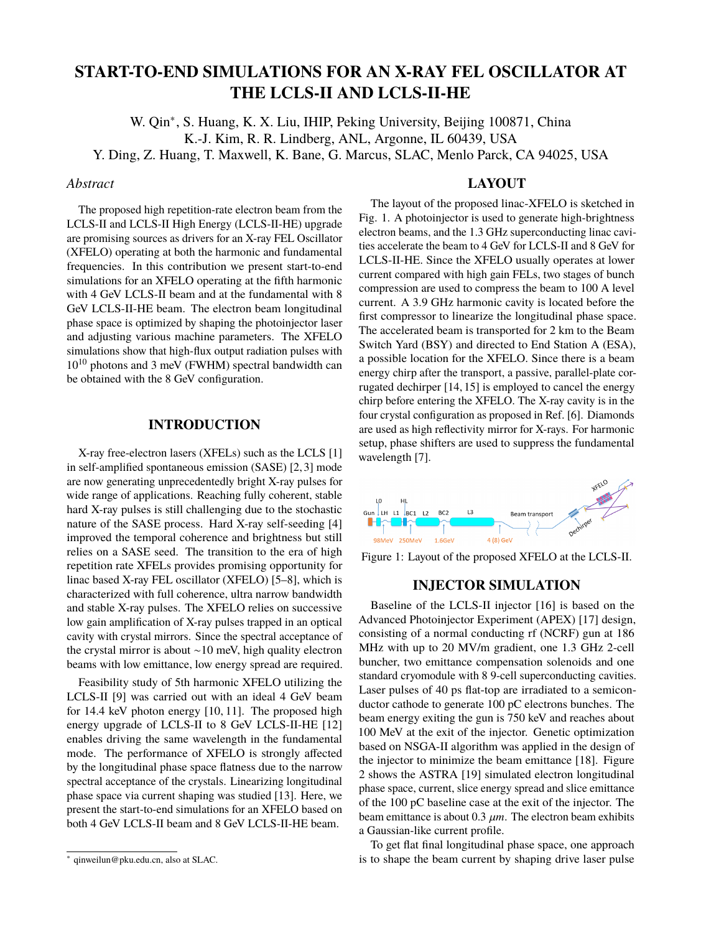# **START-TO-END SIMULATIONS FOR AN X-RAY FEL OSCILLATOR AT THE LCLS-II AND LCLS-II-HE**

W. Qin<sup>∗</sup> , S. Huang, K. X. Liu, IHIP, Peking University, Beijing 100871, China K.-J. Kim, R. R. Lindberg, ANL, Argonne, IL 60439, USA

Y. Ding, Z. Huang, T. Maxwell, K. Bane, G. Marcus, SLAC, Menlo Parck, CA 94025, USA

#### *Abstract*

The proposed high repetition-rate electron beam from the LCLS-II and LCLS-II High Energy (LCLS-II-HE) upgrade are promising sources as drivers for an X-ray FEL Oscillator (XFELO) operating at both the harmonic and fundamental frequencies. In this contribution we present start-to-end simulations for an XFELO operating at the fifth harmonic with 4 GeV LCLS-II beam and at the fundamental with 8 GeV LCLS-II-HE beam. The electron beam longitudinal phase space is optimized by shaping the photoinjector laser and adjusting various machine parameters. The XFELO simulations show that high-flux output radiation pulses with  $10^{10}$  photons and 3 meV (FWHM) spectral bandwidth can be obtained with the 8 GeV configuration.

## **INTRODUCTION**

X-ray free-electron lasers (XFELs) such as the LCLS [1] in self-amplified spontaneous emission (SASE) [2, 3] mode are now generating unprecedentedly bright X-ray pulses for wide range of applications. Reaching fully coherent, stable hard X-ray pulses is still challenging due to the stochastic nature of the SASE process. Hard X-ray self-seeding [4] improved the temporal coherence and brightness but still relies on a SASE seed. The transition to the era of high repetition rate XFELs provides promising opportunity for linac based X-ray FEL oscillator (XFELO) [5–8], which is characterized with full coherence, ultra narrow bandwidth and stable X-ray pulses. The XFELO relies on successive low gain amplification of X-ray pulses trapped in an optical cavity with crystal mirrors. Since the spectral acceptance of the crystal mirror is about ∼10 meV, high quality electron beams with low emittance, low energy spread are required.

Feasibility study of 5th harmonic XFELO utilizing the LCLS-II [9] was carried out with an ideal 4 GeV beam for 14.4 keV photon energy [10, 11]. The proposed high energy upgrade of LCLS-II to 8 GeV LCLS-II-HE [12] enables driving the same wavelength in the fundamental mode. The performance of XFELO is strongly affected by the longitudinal phase space flatness due to the narrow spectral acceptance of the crystals. Linearizing longitudinal phase space via current shaping was studied [13]. Here, we present the start-to-end simulations for an XFELO based on both 4 GeV LCLS-II beam and 8 GeV LCLS-II-HE beam.

#### **LAYOUT**

The layout of the proposed linac-XFELO is sketched in Fig. 1. A photoinjector is used to generate high-brightness electron beams, and the 1.3 GHz superconducting linac cavities accelerate the beam to 4 GeV for LCLS-II and 8 GeV for LCLS-II-HE. Since the XFELO usually operates at lower current compared with high gain FELs, two stages of bunch compression are used to compress the beam to 100 A level current. A 3.9 GHz harmonic cavity is located before the first compressor to linearize the longitudinal phase space. The accelerated beam is transported for 2 km to the Beam Switch Yard (BSY) and directed to End Station A (ESA), a possible location for the XFELO. Since there is a beam energy chirp after the transport, a passive, parallel-plate corrugated dechirper [14, 15] is employed to cancel the energy chirp before entering the XFELO. The X-ray cavity is in the four crystal configuration as proposed in Ref. [6]. Diamonds are used as high reflectivity mirror for X-rays. For harmonic setup, phase shifters are used to suppress the fundamental wavelength [7].



Figure 1: Layout of the proposed XFELO at the LCLS-II.

### **INJECTOR SIMULATION**

Baseline of the LCLS-II injector [16] is based on the Advanced Photoinjector Experiment (APEX) [17] design, consisting of a normal conducting rf (NCRF) gun at 186 MHz with up to 20 MV/m gradient, one 1.3 GHz 2-cell buncher, two emittance compensation solenoids and one standard cryomodule with 8 9-cell superconducting cavities. Laser pulses of 40 ps flat-top are irradiated to a semiconductor cathode to generate 100 pC electrons bunches. The beam energy exiting the gun is 750 keV and reaches about 100 MeV at the exit of the injector. Genetic optimization based on NSGA-II algorithm was applied in the design of the injector to minimize the beam emittance [18]. Figure 2 shows the ASTRA [19] simulated electron longitudinal phase space, current, slice energy spread and slice emittance of the 100 pC baseline case at the exit of the injector. The beam emittance is about  $0.3 \mu m$ . The electron beam exhibits a Gaussian-like current profile.

To get flat final longitudinal phase space, one approach is to shape the beam current by shaping drive laser pulse

<sup>∗</sup> qinweilun@pku.edu.cn, also at SLAC.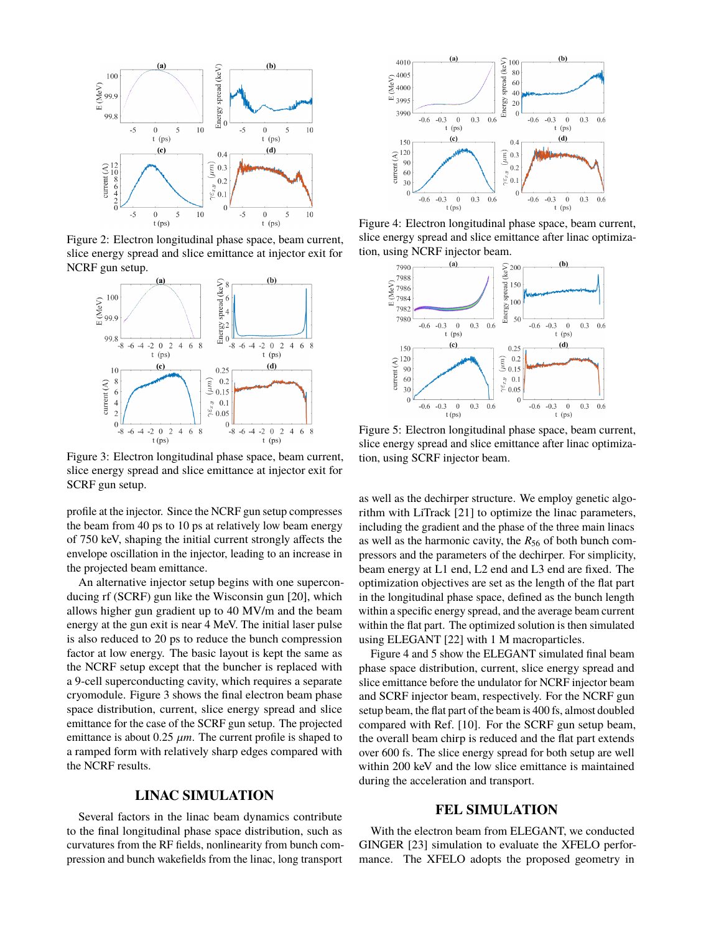

Figure 2: Electron longitudinal phase space, beam current, slice energy spread and slice emittance at injector exit for NCRF gun setup.



Figure 3: Electron longitudinal phase space, beam current, slice energy spread and slice emittance at injector exit for SCRF gun setup.

profile at the injector. Since the NCRF gun setup compresses the beam from 40 ps to 10 ps at relatively low beam energy of 750 keV, shaping the initial current strongly affects the envelope oscillation in the injector, leading to an increase in the projected beam emittance.

An alternative injector setup begins with one superconducing rf (SCRF) gun like the Wisconsin gun [20], which allows higher gun gradient up to 40 MV/m and the beam energy at the gun exit is near 4 MeV. The initial laser pulse is also reduced to 20 ps to reduce the bunch compression factor at low energy. The basic layout is kept the same as the NCRF setup except that the buncher is replaced with a 9-cell superconducting cavity, which requires a separate cryomodule. Figure 3 shows the final electron beam phase space distribution, current, slice energy spread and slice emittance for the case of the SCRF gun setup. The projected emittance is about  $0.25 \mu m$ . The current profile is shaped to a ramped form with relatively sharp edges compared with the NCRF results.

#### **LINAC SIMULATION**

Several factors in the linac beam dynamics contribute to the final longitudinal phase space distribution, such as curvatures from the RF fields, nonlinearity from bunch compression and bunch wakefields from the linac, long transport



Figure 4: Electron longitudinal phase space, beam current, slice energy spread and slice emittance after linac optimization, using NCRF injector beam.



Figure 5: Electron longitudinal phase space, beam current, slice energy spread and slice emittance after linac optimization, using SCRF injector beam.

as well as the dechirper structure. We employ genetic algorithm with LiTrack [21] to optimize the linac parameters, including the gradient and the phase of the three main linacs as well as the harmonic cavity, the *R*<sup>56</sup> of both bunch compressors and the parameters of the dechirper. For simplicity, beam energy at L1 end, L2 end and L3 end are fixed. The optimization objectives are set as the length of the flat part in the longitudinal phase space, defined as the bunch length within a specific energy spread, and the average beam current within the flat part. The optimized solution is then simulated using ELEGANT [22] with 1 M macroparticles.

Figure 4 and 5 show the ELEGANT simulated final beam phase space distribution, current, slice energy spread and slice emittance before the undulator for NCRF injector beam and SCRF injector beam, respectively. For the NCRF gun setup beam, the flat part of the beam is 400 fs, almost doubled compared with Ref. [10]. For the SCRF gun setup beam, the overall beam chirp is reduced and the flat part extends over 600 fs. The slice energy spread for both setup are well within 200 keV and the low slice emittance is maintained during the acceleration and transport.

## **FEL SIMULATION**

With the electron beam from ELEGANT, we conducted GINGER [23] simulation to evaluate the XFELO performance. The XFELO adopts the proposed geometry in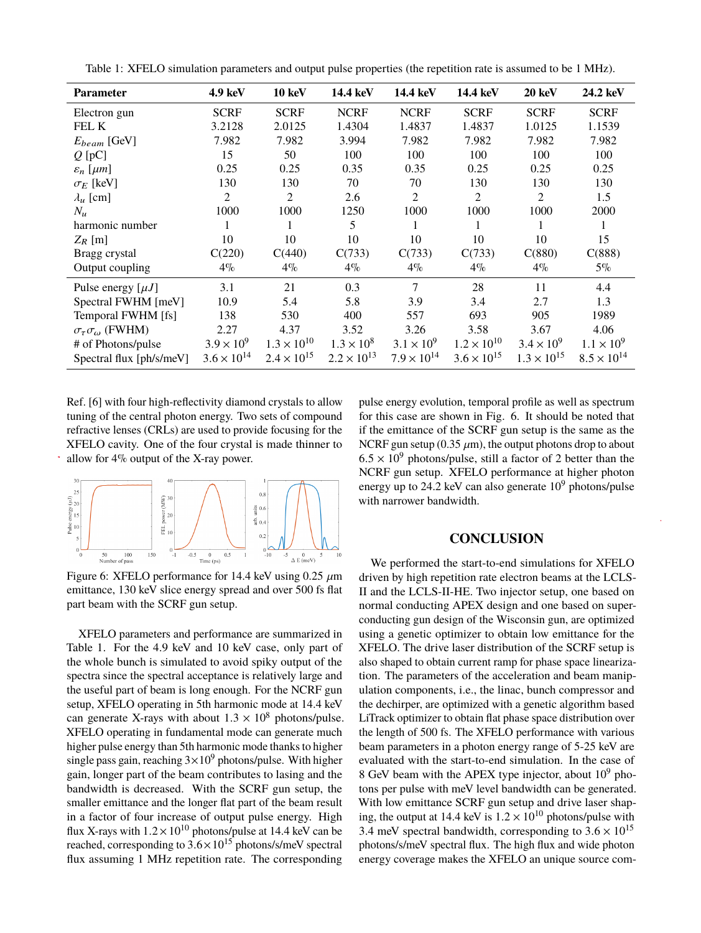| Table 1: XFELO simulation parameters and output pulse properties (the repetition rate is assumed to be 1 MHz). |  |  |  |  |  |  |  |  |  |
|----------------------------------------------------------------------------------------------------------------|--|--|--|--|--|--|--|--|--|
|----------------------------------------------------------------------------------------------------------------|--|--|--|--|--|--|--|--|--|

| <b>Parameter</b>                      | 4.9 keV              | <b>10 keV</b>        | 14.4 keV             | 14.4 keV             | 14.4 keV             | 20 keV               | 24.2 keV             |
|---------------------------------------|----------------------|----------------------|----------------------|----------------------|----------------------|----------------------|----------------------|
| Electron gun                          | <b>SCRF</b>          | <b>SCRF</b>          | <b>NCRF</b>          | <b>NCRF</b>          | <b>SCRF</b>          | <b>SCRF</b>          | <b>SCRF</b>          |
| FEL K                                 | 3.2128               | 2.0125               | 1.4304               | 1.4837               | 1.4837               | 1.0125               | 1.1539               |
| $E_{beam}$ [GeV]                      | 7.982                | 7.982                | 3.994                | 7.982                | 7.982                | 7.982                | 7.982                |
| $Q$ [pC]                              | 15                   | 50                   | 100                  | 100                  | 100                  | 100                  | 100                  |
| $\varepsilon_n$ [ $\mu$ m]            | 0.25                 | 0.25                 | 0.35                 | 0.35                 | 0.25                 | 0.25                 | 0.25                 |
| $\sigma_F$ [keV]                      | 130                  | 130                  | 70                   | 70                   | 130                  | 130                  | 130                  |
| $\lambda_u$ [cm]                      | 2                    | $\overline{2}$       | 2.6                  | 2                    | $\overline{2}$       | 2                    | 1.5                  |
| $N_{\mathfrak{u}}$                    | 1000                 | 1000                 | 1250                 | 1000                 | 1000                 | 1000                 | 2000                 |
| harmonic number                       | 1                    | 1                    | 5                    |                      | 1                    | 1                    | 1                    |
| $Z_R$ [m]                             | 10                   | 10                   | 10                   | 10                   | 10                   | 10                   | 15                   |
| Bragg crystal                         | C(220)               | C(440)               | C(733)               | C(733)               | C(733)               | C(880)               | C(888)               |
| Output coupling                       | $4\%$                | $4\%$                | $4\%$                | $4\%$                | 4%                   | $4\%$                | $5\%$                |
| Pulse energy $[\mu J]$                | 3.1                  | 21                   | 0.3                  | 7                    | 28                   | 11                   | 4.4                  |
| Spectral FWHM [meV]                   | 10.9                 | 5.4                  | 5.8                  | 3.9                  | 3.4                  | 2.7                  | 1.3                  |
| Temporal FWHM [fs]                    | 138                  | 530                  | 400                  | 557                  | 693                  | 905                  | 1989                 |
| $\sigma_{\tau}\sigma_{\omega}$ (FWHM) | 2.27                 | 4.37                 | 3.52                 | 3.26                 | 3.58                 | 3.67                 | 4.06                 |
| # of Photons/pulse                    | $3.9 \times 10^{9}$  | $1.3 \times 10^{10}$ | $1.3 \times 10^{8}$  | $3.1 \times 10^{9}$  | $1.2 \times 10^{10}$ | $3.4 \times 10^{9}$  | $1.1 \times 10^{9}$  |
| Spectral flux [ph/s/meV]              | $3.6 \times 10^{14}$ | $2.4 \times 10^{15}$ | $2.2 \times 10^{13}$ | $7.9 \times 10^{14}$ | $3.6 \times 10^{15}$ | $1.3 \times 10^{15}$ | $8.5 \times 10^{14}$ |

Ref. [6] with four high-reflectivity diamond crystals to allow tuning of the central photon energy. Two sets of compound refractive lenses (CRLs) are used to provide focusing for the XFELO cavity. One of the four crystal is made thinner to allow for 4% output of the X-ray power.



Figure 6: XFELO performance for 14.4 keV using  $0.25 \mu m$ emittance, 130 keV slice energy spread and over 500 fs flat part beam with the SCRF gun setup.

XFELO parameters and performance are summarized in Table 1. For the 4.9 keV and 10 keV case, only part of the whole bunch is simulated to avoid spiky output of the spectra since the spectral acceptance is relatively large and the useful part of beam is long enough. For the NCRF gun setup, XFELO operating in 5th harmonic mode at 14.4 keV can generate X-rays with about  $1.3 \times 10^8$  photons/pulse. XFELO operating in fundamental mode can generate much higher pulse energy than 5th harmonic mode thanks to higher single pass gain, reaching  $3\times10^9$  photons/pulse. With higher gain, longer part of the beam contributes to lasing and the bandwidth is decreased. With the SCRF gun setup, the smaller emittance and the longer flat part of the beam result in a factor of four increase of output pulse energy. High flux X-rays with  $1.2 \times 10^{10}$  photons/pulse at 14.4 keV can be reached, corresponding to  $3.6 \times 10^{15}$  photons/s/meV spectral flux assuming 1 MHz repetition rate. The corresponding pulse energy evolution, temporal profile as well as spectrum for this case are shown in Fig. 6. It should be noted that if the emittance of the SCRF gun setup is the same as the NCRF gun setup (0.35  $\mu$ m), the output photons drop to about  $6.5 \times 10^9$  photons/pulse, still a factor of 2 better than the NCRF gun setup. XFELO performance at higher photon energy up to 24.2 keV can also generate  $10^9$  photons/pulse with narrower bandwidth.

### **CONCLUSION**

We performed the start-to-end simulations for XFELO driven by high repetition rate electron beams at the LCLS-II and the LCLS-II-HE. Two injector setup, one based on normal conducting APEX design and one based on superconducting gun design of the Wisconsin gun, are optimized using a genetic optimizer to obtain low emittance for the XFELO. The drive laser distribution of the SCRF setup is also shaped to obtain current ramp for phase space linearization. The parameters of the acceleration and beam manipulation components, i.e., the linac, bunch compressor and the dechirper, are optimized with a genetic algorithm based LiTrack optimizer to obtain flat phase space distribution over the length of 500 fs. The XFELO performance with various beam parameters in a photon energy range of 5-25 keV are evaluated with the start-to-end simulation. In the case of 8 GeV beam with the APEX type injector, about  $10^9$  photons per pulse with meV level bandwidth can be generated. With low emittance SCRF gun setup and drive laser shaping, the output at 14.4 keV is  $1.2 \times 10^{10}$  photons/pulse with 3.4 meV spectral bandwidth, corresponding to  $3.6 \times 10^{15}$ photons/s/meV spectral flux. The high flux and wide photon energy coverage makes the XFELO an unique source com-